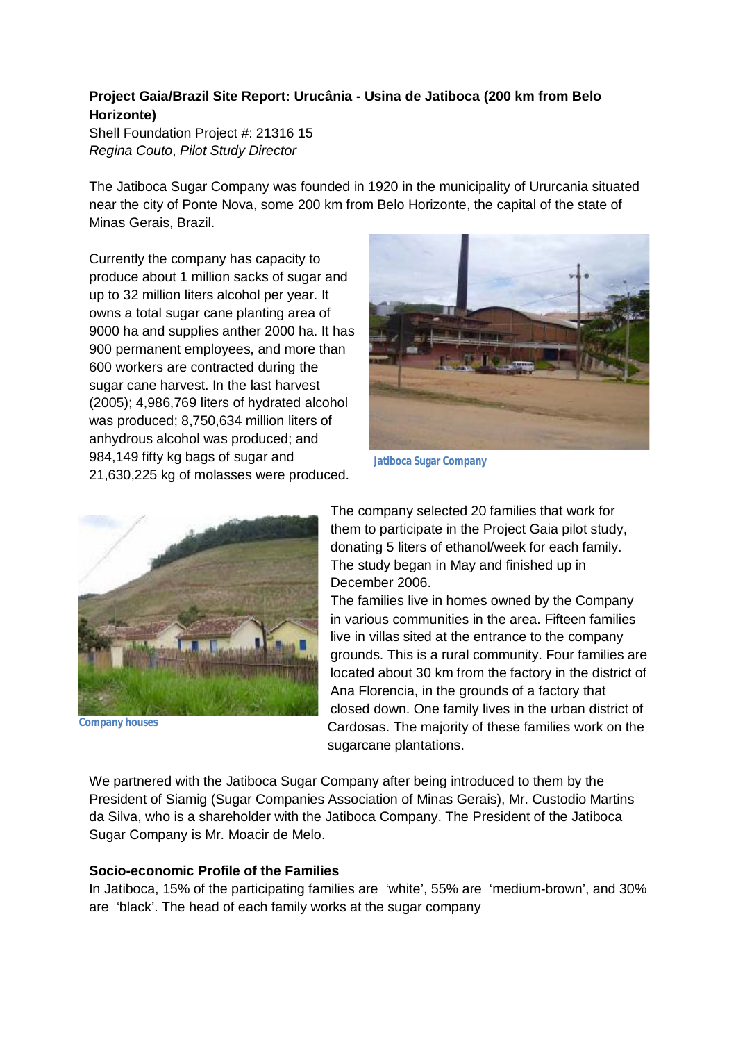# **Project Gaia/Brazil Site Report: Urucânia - Usina de Jatiboca (200 km from Belo Horizonte)**

Shell Foundation Project #: 21316 15 *Regina Couto*, *Pilot Study Director*

The Jatiboca Sugar Company was founded in 1920 in the municipality of Ururcania situated near the city of Ponte Nova, some 200 km from Belo Horizonte, the capital of the state of Minas Gerais, Brazil.

Currently the company has capacity to produce about 1 million sacks of sugar and up to 32 million liters alcohol per year. It owns a total sugar cane planting area of 9000 ha and supplies anther 2000 ha. It has 900 permanent employees, and more than 600 workers are contracted during the sugar cane harvest. In the last harvest (2005); 4,986,769 liters of hydrated alcohol was produced; 8,750,634 million liters of anhydrous alcohol was produced; and 984,149 fifty kg bags of sugar and 21,630,225 kg of molasses were produced.



**Jatiboca Sugar Company**



**Company houses**

The company selected 20 families that work for them to participate in the Project Gaia pilot study, donating 5 liters of ethanol/week for each family. The study began in May and finished up in December 2006.

The families live in homes owned by the Company in various communities in the area. Fifteen families live in villas sited at the entrance to the company grounds. This is a rural community. Four families are located about 30 km from the factory in the district of Ana Florencia, in the grounds of a factory that closed down. One family lives in the urban district of Cardosas. The majority of these families work on the sugarcane plantations.

We partnered with the Jatiboca Sugar Company after being introduced to them by the President of Siamig (Sugar Companies Association of Minas Gerais), Mr. Custodio Martins da Silva, who is a shareholder with the Jatiboca Company. The President of the Jatiboca Sugar Company is Mr. Moacir de Melo.

## **Socio-economic Profile of the Families**

In Jatiboca, 15% of the participating families are 'white', 55% are 'medium-brown', and 30% are 'black'. The head of each family works at the sugar company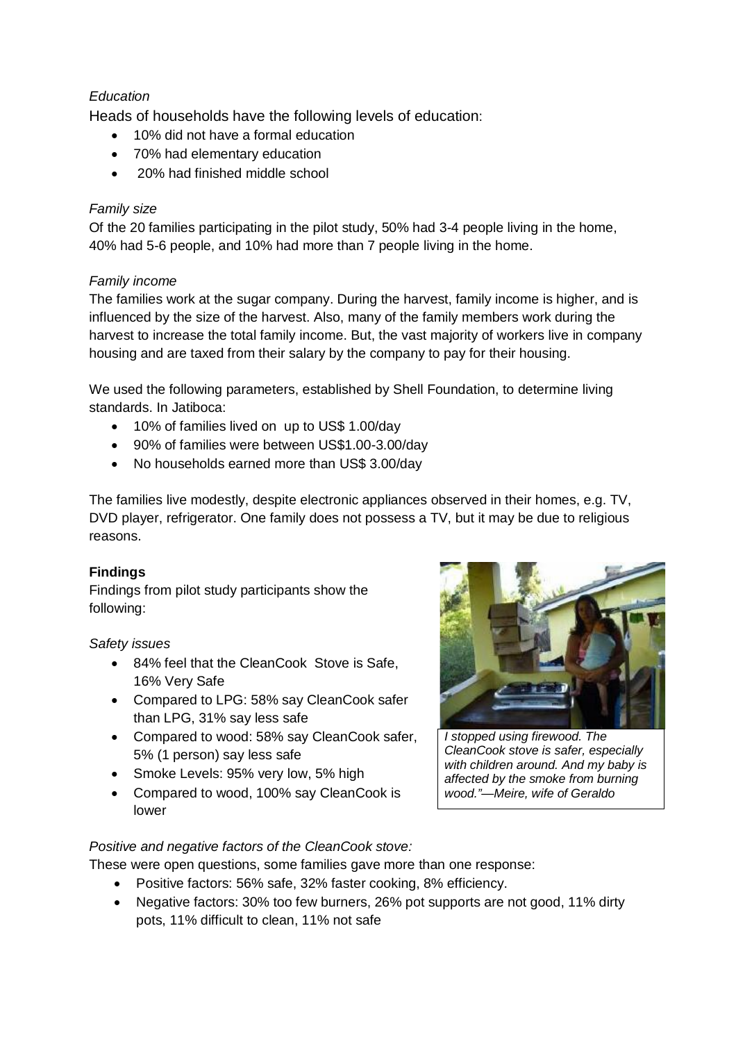## *Education*

Heads of households have the following levels of education:

- 10% did not have a formal education
- 70% had elementary education
- 20% had finished middle school

## *Family size*

Of the 20 families participating in the pilot study, 50% had 3-4 people living in the home, 40% had 5-6 people, and 10% had more than 7 people living in the home.

## *Family income*

The families work at the sugar company. During the harvest, family income is higher, and is influenced by the size of the harvest. Also, many of the family members work during the harvest to increase the total family income. But, the vast majority of workers live in company housing and are taxed from their salary by the company to pay for their housing.

We used the following parameters, established by Shell Foundation, to determine living standards. In Jatiboca:

- 10% of families lived on up to US\$ 1.00/day
- 90% of families were between US\$1.00-3.00/day
- No households earned more than US\$ 3.00/day

The families live modestly, despite electronic appliances observed in their homes, e.g. TV, DVD player, refrigerator. One family does not possess a TV, but it may be due to religious reasons.

#### **Findings**

Findings from pilot study participants show the following:

#### *Safety issues*

- 84% feel that the CleanCook Stove is Safe, 16% Very Safe
- Compared to LPG: 58% say CleanCook safer than LPG, 31% say less safe
- Compared to wood: 58% say CleanCook safer, 5% (1 person) say less safe
- Smoke Levels: 95% very low, 5% high
- Compared to wood, 100% say CleanCook is lower



*I stopped using firewood. The CleanCook stove is safer, especially with children around. And my baby is affected by the smoke from burning wood."—Meire, wife of Geraldo*

#### *Positive and negative factors of the CleanCook stove:*

These were open questions, some families gave more than one response:

- Positive factors: 56% safe, 32% faster cooking, 8% efficiency.
- Negative factors: 30% too few burners, 26% pot supports are not good, 11% dirty pots, 11% difficult to clean, 11% not safe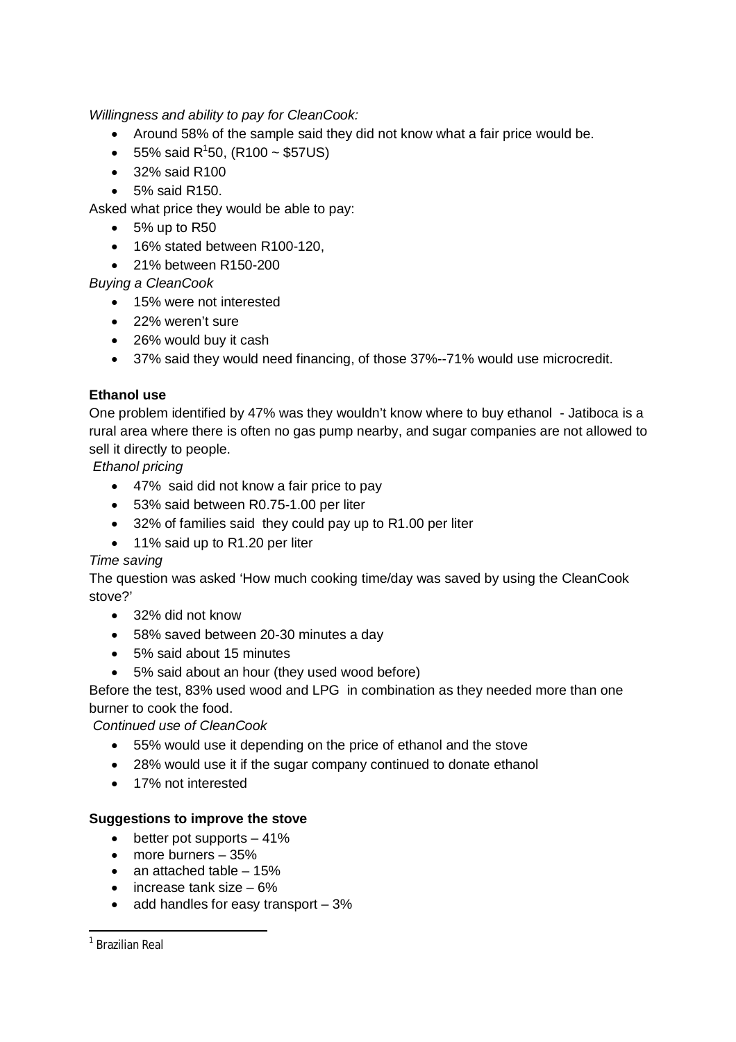*Willingness and ability to pay for CleanCook:*

- Around 58% of the sample said they did not know what a fair price would be.
- 55% said R<sup>1</sup>50, (R100 ~ \$57US)
- 32% said R100
- 5% said R150.

Asked what price they would be able to pay:

- $\bullet$  5% up to R50
- 16% stated between R100-120,
- 21% between R150-200

*Buying a CleanCook*

- 15% were not interested
- 22% weren't sure
- 26% would buy it cash
- 37% said they would need financing, of those 37%--71% would use microcredit.

#### **Ethanol use**

One problem identified by 47% was they wouldn't know where to buy ethanol - Jatiboca is a rural area where there is often no gas pump nearby, and sugar companies are not allowed to sell it directly to people.

*Ethanol pricing*

- 47% said did not know a fair price to pay
- 53% said between R0.75-1.00 per liter
- 32% of families said they could pay up to R1.00 per liter
- 11% said up to R1.20 per liter

#### *Time saving*

The question was asked 'How much cooking time/day was saved by using the CleanCook stove?'

- 32% did not know
- 58% saved between 20-30 minutes a day
- 5% said about 15 minutes
- 5% said about an hour (they used wood before)

Before the test, 83% used wood and LPG in combination as they needed more than one burner to cook the food.

*Continued use of CleanCook*

- 55% would use it depending on the price of ethanol and the stove
- 28% would use it if the sugar company continued to donate ethanol
- 17% not interested

#### **Suggestions to improve the stove**

- $\bullet$  better pot supports  $-41\%$
- more burners 35%
- $\bullet$  an attached table  $-15%$
- $\bullet$  increase tank size 6%
- $\bullet$  add handles for easy transport  $-3\%$

 1 Brazilian Real